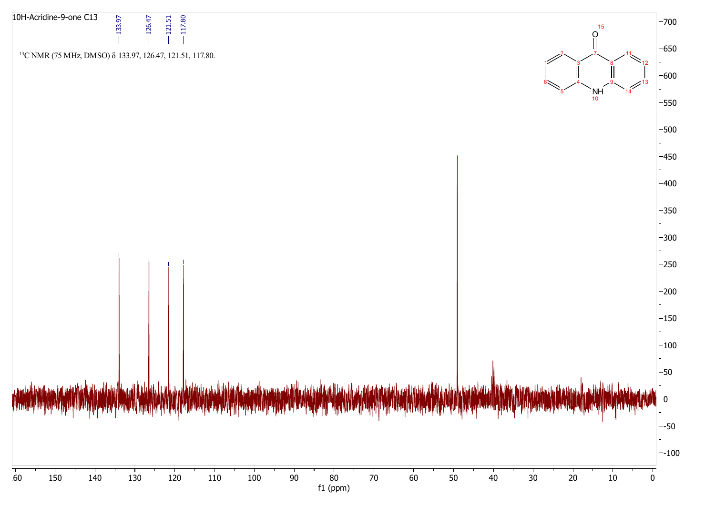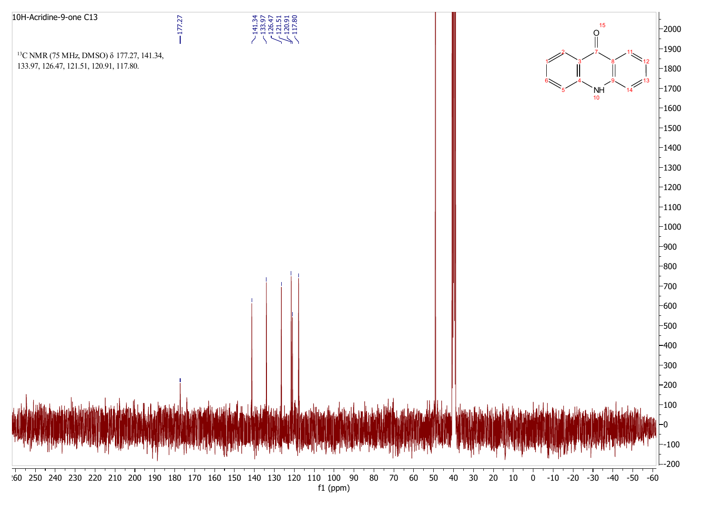